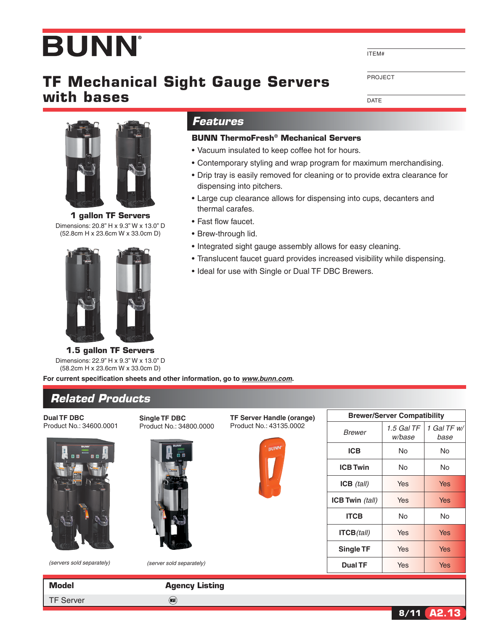## **BUNN**

## **TF Mechanical Sight Gauge Servers with bases**

*Features*

dispensing into pitchers.

thermal carafes. • Fast flow faucet. • Brew-through lid.

**BUNN ThermoFresh® Mechanical Servers** • Vacuum insulated to keep coffee hot for hours.

• Contemporary styling and wrap program for maximum merchandising. • Drip tray is easily removed for cleaning or to provide extra clearance for

• Large cup clearance allows for dispensing into cups, decanters and

• Translucent faucet guard provides increased visibility while dispensing.

• Integrated sight gauge assembly allows for easy cleaning.

• Ideal for use with Single or Dual TF DBC Brewers.

ITEM#

Project

**1 gallon TF Servers**

Dimensions: 20.8" H x 9.3" W x 13.0" D (52.8cm H x 23.6cm W x 33.0cm D)



**1.5 gallon TF Servers** Dimensions: 22.9" H x 9.3" W x 13.0" D (58.2cm H x 23.6cm W x 33.0cm D)

**For current specification sheets and other information, go to** *www.bunn.com***.**

## *Related Products*

**Dual TF DBC** Product No.: 34600.0001



*(servers sold separately) (server sold separately)*

TF

**Single TF DBC** Product No.: 34800.0000





| <b>Brewer/Server Compatibility</b> |                        |                     |  |  |  |  |
|------------------------------------|------------------------|---------------------|--|--|--|--|
| Brewer                             | $1.5$ Gal TF<br>w/base | 1 Gal TF w/<br>base |  |  |  |  |
| <b>ICB</b>                         | N٥                     | N٥                  |  |  |  |  |
| <b>ICB Twin</b>                    | No                     | No                  |  |  |  |  |
| $ICB$ (tall)                       | Yes                    | Yes                 |  |  |  |  |
| ICB Twin (tall)                    | Yes                    | Yes                 |  |  |  |  |
| <b>ITCB</b>                        | Nο                     | N٥                  |  |  |  |  |
| $ITCB$ (tall)                      | Yes                    | Yes                 |  |  |  |  |
| Single TF                          | Yes                    | Yes                 |  |  |  |  |
| Dual TF                            | Yes                    | Yes                 |  |  |  |  |
|                                    |                        |                     |  |  |  |  |

| Model            | <b>Agency Listing</b> |
|------------------|-----------------------|
| <b>TF Server</b> | (S)                   |

DATE

**8/11 A2.13**